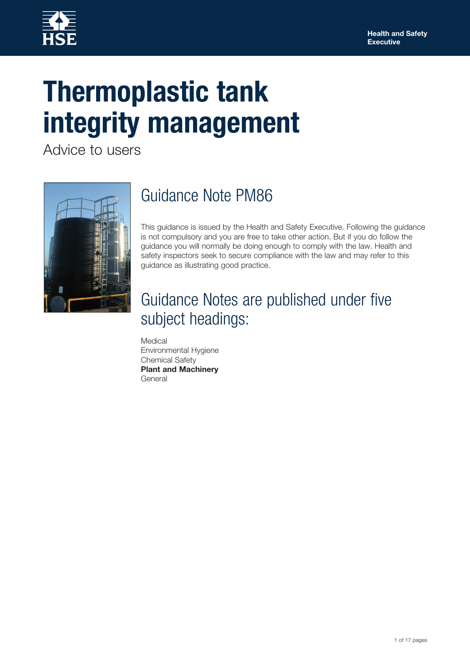

# **Thermoplastic tank integrity management**

Advice to users



# Guidance Note PM86

This guidance is issued by the Health and Safety Executive. Following the guidance is not compulsory and you are free to take other action. But if you do follow the guidance you will normally be doing enough to comply with the law. Health and safety inspectors seek to secure compliance with the law and may refer to this guidance as illustrating good practice.

# Guidance Notes are published under five subject headings:

Medical Environmental Hygiene Chemical Safety **Plant and Machinery General**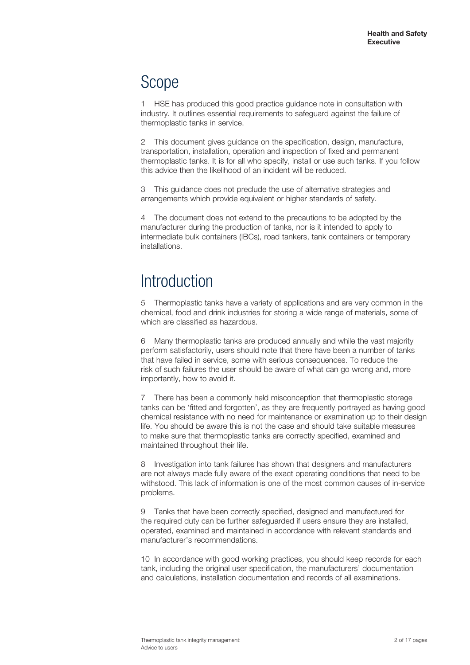# Scope

1 HSE has produced this good practice guidance note in consultation with industry. It outlines essential requirements to safeguard against the failure of thermoplastic tanks in service.

This document gives guidance on the specification, design, manufacture, transportation, installation, operation and inspection of fixed and permanent thermoplastic tanks. It is for all who specify, install or use such tanks. If you follow this advice then the likelihood of an incident will be reduced.

This guidance does not preclude the use of alternative strategies and arrangements which provide equivalent or higher standards of safety.

4 The document does not extend to the precautions to be adopted by the manufacturer during the production of tanks, nor is it intended to apply to intermediate bulk containers (IBCs), road tankers, tank containers or temporary installations.

# **Introduction**

5 Thermoplastic tanks have a variety of applications and are very common in the chemical, food and drink industries for storing a wide range of materials, some of which are classified as hazardous.

6 Many thermoplastic tanks are produced annually and while the vast majority perform satisfactorily, users should note that there have been a number of tanks that have failed in service, some with serious consequences. To reduce the risk of such failures the user should be aware of what can go wrong and, more importantly, how to avoid it.

7 There has been a commonly held misconception that thermoplastic storage tanks can be 'fitted and forgotten', as they are frequently portrayed as having good chemical resistance with no need for maintenance or examination up to their design life. You should be aware this is not the case and should take suitable measures to make sure that thermoplastic tanks are correctly specified, examined and maintained throughout their life.

8 Investigation into tank failures has shown that designers and manufacturers are not always made fully aware of the exact operating conditions that need to be withstood. This lack of information is one of the most common causes of in-service problems.

9 Tanks that have been correctly specified, designed and manufactured for the required duty can be further safeguarded if users ensure they are installed, operated, examined and maintained in accordance with relevant standards and manufacturer's recommendations.

10 In accordance with good working practices, you should keep records for each tank, including the original user specification, the manufacturers' documentation and calculations, installation documentation and records of all examinations.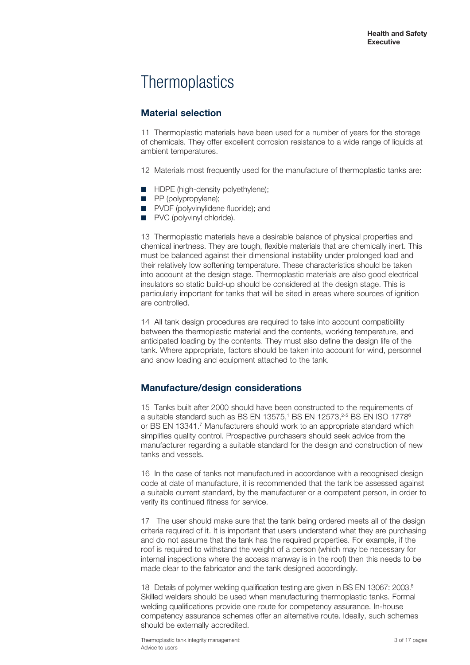# **Thermoplastics**

### **Material selection**

11 Thermoplastic materials have been used for a number of years for the storage of chemicals. They offer excellent corrosion resistance to a wide range of liquids at ambient temperatures.

12 Materials most frequently used for the manufacture of thermoplastic tanks are:

- HDPE (high-density polyethylene);
- PP (polypropylene);
- PVDF (polyvinylidene fluoride); and
- PVC (polyvinyl chloride).

13 Thermoplastic materials have a desirable balance of physical properties and chemical inertness. They are tough, flexible materials that are chemically inert. This must be balanced against their dimensional instability under prolonged load and their relatively low softening temperature. These characteristics should be taken into account at the design stage. Thermoplastic materials are also good electrical insulators so static build-up should be considered at the design stage. This is particularly important for tanks that will be sited in areas where sources of ignition are controlled.

14 All tank design procedures are required to take into account compatibility between the thermoplastic material and the contents, working temperature, and anticipated loading by the contents. They must also define the design life of the tank. Where appropriate, factors should be taken into account for wind, personnel and snow loading and equipment attached to the tank.

### **Manufacture/design considerations**

15 Tanks built after 2000 should have been constructed to the requirements of a suitable standard such as BS EN 13575,<sup>1</sup> BS EN 12573,<sup>2-5</sup> BS EN ISO 1778<sup>6</sup> or BS EN 13341.7 Manufacturers should work to an appropriate standard which simplifies quality control. Prospective purchasers should seek advice from the manufacturer regarding a suitable standard for the design and construction of new tanks and vessels.

16 In the case of tanks not manufactured in accordance with a recognised design code at date of manufacture, it is recommended that the tank be assessed against a suitable current standard, by the manufacturer or a competent person, in order to verify its continued fitness for service.

17 The user should make sure that the tank being ordered meets all of the design criteria required of it. It is important that users understand what they are purchasing and do not assume that the tank has the required properties. For example, if the roof is required to withstand the weight of a person (which may be necessary for internal inspections where the access manway is in the roof) then this needs to be made clear to the fabricator and the tank designed accordingly.

18 Details of polymer welding qualification testing are given in BS EN 13067: 2003.<sup>8</sup> Skilled welders should be used when manufacturing thermoplastic tanks. Formal welding qualifications provide one route for competency assurance. In-house competency assurance schemes offer an alternative route. Ideally, such schemes should be externally accredited.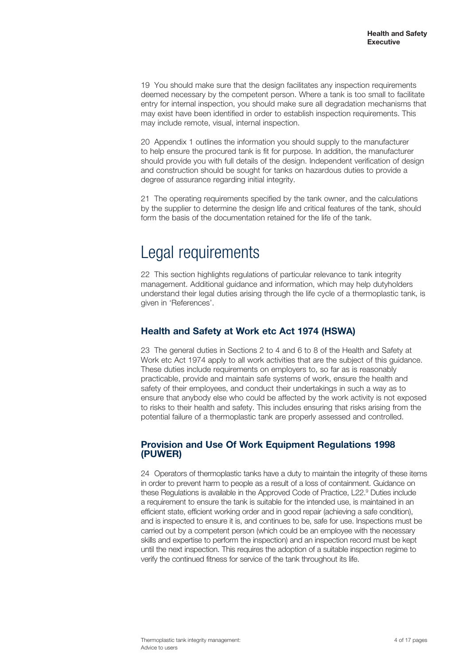19 You should make sure that the design facilitates any inspection requirements deemed necessary by the competent person. Where a tank is too small to facilitate entry for internal inspection, you should make sure all degradation mechanisms that may exist have been identified in order to establish inspection requirements. This may include remote, visual, internal inspection.

20 Appendix 1 outlines the information you should supply to the manufacturer to help ensure the procured tank is fit for purpose. In addition, the manufacturer should provide you with full details of the design. Independent verification of design and construction should be sought for tanks on hazardous duties to provide a degree of assurance regarding initial integrity.

21 The operating requirements specified by the tank owner, and the calculations by the supplier to determine the design life and critical features of the tank, should form the basis of the documentation retained for the life of the tank.

# Legal requirements

22 This section highlights regulations of particular relevance to tank integrity management. Additional guidance and information, which may help dutyholders understand their legal duties arising through the life cycle of a thermoplastic tank, is given in 'References'.

### **Health and Safety at Work etc Act 1974 (HSWA)**

23 The general duties in Sections 2 to 4 and 6 to 8 of the Health and Safety at Work etc Act 1974 apply to all work activities that are the subject of this guidance. These duties include requirements on employers to, so far as is reasonably practicable, provide and maintain safe systems of work, ensure the health and safety of their employees, and conduct their undertakings in such a way as to ensure that anybody else who could be affected by the work activity is not exposed to risks to their health and safety. This includes ensuring that risks arising from the potential failure of a thermoplastic tank are properly assessed and controlled.

### **Provision and Use Of Work Equipment Regulations 1998 (PUWER)**

24 Operators of thermoplastic tanks have a duty to maintain the integrity of these items in order to prevent harm to people as a result of a loss of containment. Guidance on these Regulations is available in the Approved Code of Practice, L22.<sup>9</sup> Duties include a requirement to ensure the tank is suitable for the intended use, is maintained in an efficient state, efficient working order and in good repair (achieving a safe condition), and is inspected to ensure it is, and continues to be, safe for use. Inspections must be carried out by a competent person (which could be an employee with the necessary skills and expertise to perform the inspection) and an inspection record must be kept until the next inspection. This requires the adoption of a suitable inspection regime to verify the continued fitness for service of the tank throughout its life.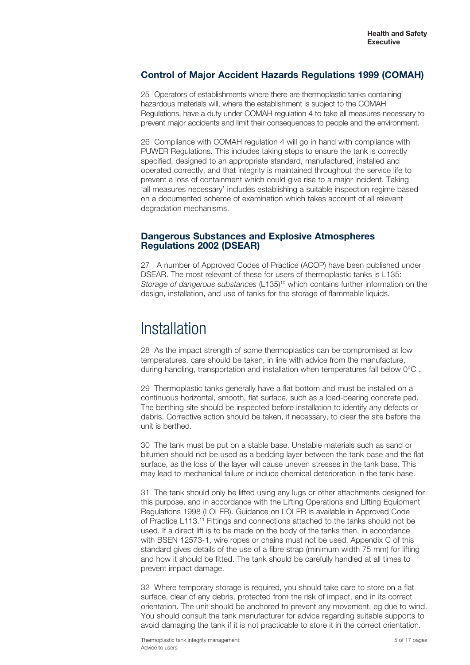### **Control of Major Accident Hazards Regulations 1999 (COMAH)**

25 Operators of establishments where there are thermoplastic tanks containing hazardous materials will, where the establishment is subject to the COMAH Regulations, have a duty under COMAH regulation 4 to take all measures necessary to prevent major accidents and limit their consequences to people and the environment.

26 Compliance with COMAH regulation 4 will go in hand with compliance with PUWER Regulations. This includes taking steps to ensure the tank is correctly specified, designed to an appropriate standard, manufactured, installed and operated correctly, and that integrity is maintained throughout the service life to prevent a loss of containment which could give rise to a major incident. Taking 'all measures necessary' includes establishing a suitable inspection regime based on a documented scheme of examination which takes account of all relevant degradation mechanisms.

### **Dangerous Substances and Explosive Atmospheres Regulations 2002 (DSEAR)**

27 A number of Approved Codes of Practice (ACOP) have been published under DSEAR. The most relevant of these for users of thermoplastic tanks is L135: *Storage of dangerous substances* (L135)10 which contains further information on the design, installation, and use of tanks for the storage of flammable liquids.

### Installation

28 As the impact strength of some thermoplastics can be compromised at low temperatures, care should be taken, in line with advice from the manufacture, during handling, transportation and installation when temperatures fall below 0°C .

29 Thermoplastic tanks generally have a flat bottom and must be installed on a continuous horizontal, smooth, flat surface, such as a load-bearing concrete pad. The berthing site should be inspected before installation to identify any defects or debris. Corrective action should be taken, if necessary, to clear the site before the unit is berthed.

30 The tank must be put on a stable base. Unstable materials such as sand or bitumen should not be used as a bedding layer between the tank base and the flat surface, as the loss of the layer will cause uneven stresses in the tank base. This may lead to mechanical failure or induce chemical deterioration in the tank base.

31 The tank should only be lifted using any lugs or other attachments designed for this purpose, and in accordance with the Lifting Operations and Lifting Equipment Regulations 1998 (LOLER). Guidance on LOLER is available in Approved Code of Practice L113.11 Fittings and connections attached to the tanks should not be used. If a direct lift is to be made on the body of the tanks then, in accordance with BSEN 12573-1, wire ropes or chains must not be used. Appendix C of this standard gives details of the use of a fibre strap (minimum width 75 mm) for lifting and how it should be fitted. The tank should be carefully handled at all times to prevent impact damage.

32 Where temporary storage is required, you should take care to store on a flat surface, clear of any debris, protected from the risk of impact, and in its correct orientation. The unit should be anchored to prevent any movement, eg due to wind. You should consult the tank manufacturer for advice regarding suitable supports to avoid damaging the tank if it is not practicable to store it in the correct orientation.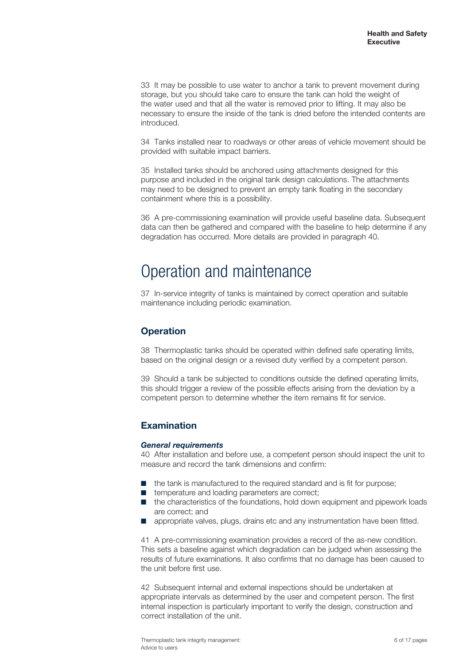33 It may be possible to use water to anchor a tank to prevent movement during storage, but you should take care to ensure the tank can hold the weight of the water used and that all the water is removed prior to lifting. It may also be necessary to ensure the inside of the tank is dried before the intended contents are introduced.

34 Tanks installed near to roadways or other areas of vehicle movement should be provided with suitable impact barriers.

35 Installed tanks should be anchored using attachments designed for this purpose and included in the original tank design calculations. The attachments may need to be designed to prevent an empty tank floating in the secondary containment where this is a possibility.

36 A pre-commissioning examination will provide useful baseline data. Subsequent data can then be gathered and compared with the baseline to help determine if any degradation has occurred. More details are provided in paragraph 40.

# Operation and maintenance

37 In-service integrity of tanks is maintained by correct operation and suitable maintenance including periodic examination.

### **Operation**

38 Thermoplastic tanks should be operated within defined safe operating limits, based on the original design or a revised duty verified by a competent person.

39 Should a tank be subjected to conditions outside the defined operating limits, this should trigger a review of the possible effects arising from the deviation by a competent person to determine whether the item remains fit for service.

### **Examination**

#### *General requirements*

40 After installation and before use, a competent person should inspect the unit to measure and record the tank dimensions and confirm:

- the tank is manufactured to the required standard and is fit for purpose;
- temperature and loading parameters are correct;
- the characteristics of the foundations, hold down equipment and pipework loads are correct; and
- appropriate valves, plugs, drains etc and any instrumentation have been fitted.

41 A pre-commissioning examination provides a record of the as-new condition. This sets a baseline against which degradation can be judged when assessing the results of future examinations. It also confirms that no damage has been caused to the unit before first use.

42 Subsequent internal and external inspections should be undertaken at appropriate intervals as determined by the user and competent person. The first internal inspection is particularly important to verify the design, construction and correct installation of the unit.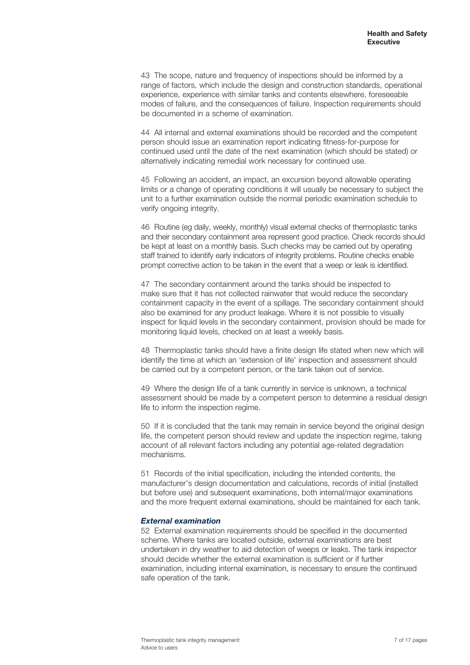43 The scope, nature and frequency of inspections should be informed by a range of factors, which include the design and construction standards, operational experience, experience with similar tanks and contents elsewhere, foreseeable modes of failure, and the consequences of failure. Inspection requirements should be documented in a scheme of examination.

44 All internal and external examinations should be recorded and the competent person should issue an examination report indicating fitness-for-purpose for continued used until the date of the next examination (which should be stated) or alternatively indicating remedial work necessary for continued use.

45 Following an accident, an impact, an excursion beyond allowable operating limits or a change of operating conditions it will usually be necessary to subject the unit to a further examination outside the normal periodic examination schedule to verify ongoing integrity.

46 Routine (eg daily, weekly, monthly) visual external checks of thermoplastic tanks and their secondary containment area represent good practice. Check records should be kept at least on a monthly basis. Such checks may be carried out by operating staff trained to identify early indicators of integrity problems. Routine checks enable prompt corrective action to be taken in the event that a weep or leak is identified.

47 The secondary containment around the tanks should be inspected to make sure that it has not collected rainwater that would reduce the secondary containment capacity in the event of a spillage. The secondary containment should also be examined for any product leakage. Where it is not possible to visually inspect for liquid levels in the secondary containment, provision should be made for monitoring liquid levels, checked on at least a weekly basis.

48 Thermoplastic tanks should have a finite design life stated when new which will identify the time at which an 'extension of life' inspection and assessment should be carried out by a competent person, or the tank taken out of service.

49 Where the design life of a tank currently in service is unknown, a technical assessment should be made by a competent person to determine a residual design life to inform the inspection regime.

50 If it is concluded that the tank may remain in service beyond the original design life, the competent person should review and update the inspection regime, taking account of all relevant factors including any potential age-related degradation mechanisms.

51 Records of the initial specification, including the intended contents, the manufacturer's design documentation and calculations, records of initial (installed but before use) and subsequent examinations, both internal/major examinations and the more frequent external examinations, should be maintained for each tank.

#### *External examination*

52 External examination requirements should be specified in the documented scheme. Where tanks are located outside, external examinations are best undertaken in dry weather to aid detection of weeps or leaks. The tank inspector should decide whether the external examination is sufficient or if further examination, including internal examination, is necessary to ensure the continued safe operation of the tank.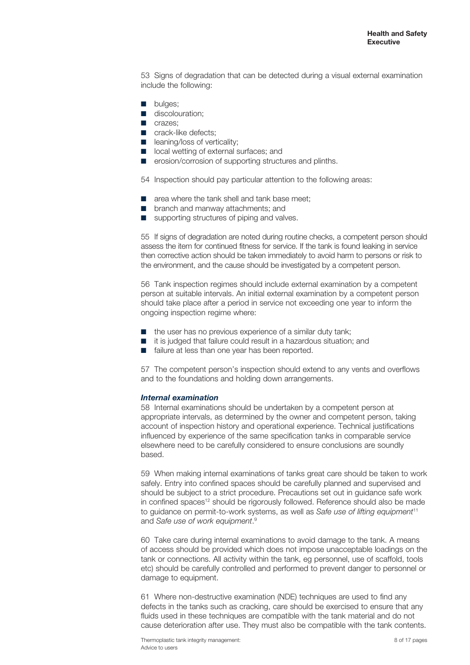53 Signs of degradation that can be detected during a visual external examination include the following:

- bulges:
- discolouration:
- crazes;
- crack-like defects:
- leaning/loss of verticality:
- local wetting of external surfaces; and
- erosion/corrosion of supporting structures and plinths.
- 54 Inspection should pay particular attention to the following areas:
- area where the tank shell and tank base meet:
- branch and manway attachments; and
- supporting structures of piping and valves.

55 If signs of degradation are noted during routine checks, a competent person should assess the item for continued fitness for service. If the tank is found leaking in service then corrective action should be taken immediately to avoid harm to persons or risk to the environment, and the cause should be investigated by a competent person.

56 Tank inspection regimes should include external examination by a competent person at suitable intervals. An initial external examination by a competent person should take place after a period in service not exceeding one year to inform the ongoing inspection regime where:

- the user has no previous experience of a similar duty tank;
- it is judged that failure could result in a hazardous situation; and
- failure at less than one year has been reported.

57 The competent person's inspection should extend to any vents and overflows and to the foundations and holding down arrangements.

#### *Internal examination*

58 Internal examinations should be undertaken by a competent person at appropriate intervals, as determined by the owner and competent person, taking account of inspection history and operational experience. Technical justifications influenced by experience of the same specification tanks in comparable service elsewhere need to be carefully considered to ensure conclusions are soundly based.

59 When making internal examinations of tanks great care should be taken to work safely. Entry into confined spaces should be carefully planned and supervised and should be subject to a strict procedure. Precautions set out in guidance safe work in confined spaces<sup>12</sup> should be rigorously followed. Reference should also be made to guidance on permit-to-work systems, as well as *Safe use of lifting equipment*<sup>11</sup> <sup>9</sup> and *Safe use of work equipment*.

60 Take care during internal examinations to avoid damage to the tank. A means of access should be provided which does not impose unacceptable loadings on the tank or connections. All activity within the tank, eg personnel, use of scaffold, tools etc) should be carefully controlled and performed to prevent danger to personnel or damage to equipment.

61 Where non-destructive examination (NDE) techniques are used to find any defects in the tanks such as cracking, care should be exercised to ensure that any fluids used in these techniques are compatible with the tank material and do not cause deterioration after use. They must also be compatible with the tank contents.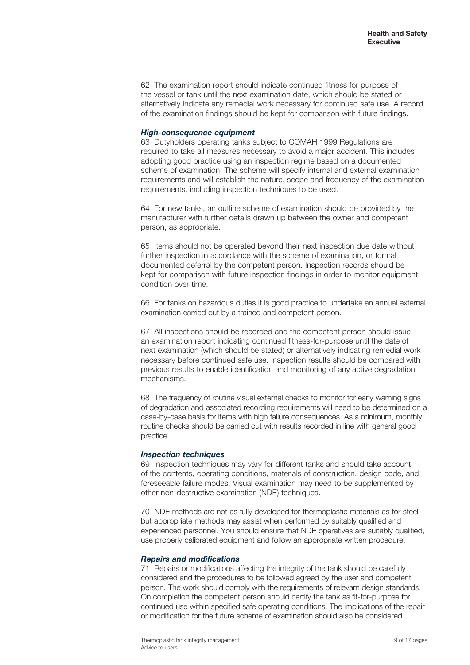62 The examination report should indicate continued fitness for purpose of the vessel or tank until the next examination date, which should be stated or alternatively indicate any remedial work necessary for continued safe use. A record of the examination findings should be kept for comparison with future findings.

#### *High-consequence equipment*

63 Dutyholders operating tanks subject to COMAH 1999 Regulations are required to take all measures necessary to avoid a major accident. This includes adopting good practice using an inspection regime based on a documented scheme of examination. The scheme will specify internal and external examination requirements and will establish the nature, scope and frequency of the examination requirements, including inspection techniques to be used.

64 For new tanks, an outline scheme of examination should be provided by the manufacturer with further details drawn up between the owner and competent person, as appropriate.

65 Items should not be operated beyond their next inspection due date without further inspection in accordance with the scheme of examination, or formal documented deferral by the competent person. Inspection records should be kept for comparison with future inspection findings in order to monitor equipment condition over time.

66 For tanks on hazardous duties it is good practice to undertake an annual external examination carried out by a trained and competent person.

67 All inspections should be recorded and the competent person should issue an examination report indicating continued fitness-for-purpose until the date of next examination (which should be stated) or alternatively indicating remedial work necessary before continued safe use. Inspection results should be compared with previous results to enable identification and monitoring of any active degradation mechanisms.

68 The frequency of routine visual external checks to monitor for early warning signs of degradation and associated recording requirements will need to be determined on a case-by-case basis for items with high failure consequences. As a minimum, monthly routine checks should be carried out with results recorded in line with general good practice.

#### *Inspection techniques*

69 Inspection techniques may vary for different tanks and should take account of the contents, operating conditions, materials of construction, design code, and foreseeable failure modes. Visual examination may need to be supplemented by other non-destructive examination (NDE) techniques.

70 NDE methods are not as fully developed for thermoplastic materials as for steel but appropriate methods may assist when performed by suitably qualified and experienced personnel. You should ensure that NDE operatives are suitably qualified, use properly calibrated equipment and follow an appropriate written procedure.

#### *Repairs and modifications*

71 Repairs or modifications affecting the integrity of the tank should be carefully considered and the procedures to be followed agreed by the user and competent person. The work should comply with the requirements of relevant design standards. On completion the competent person should certify the tank as fit-for-purpose for continued use within specified safe operating conditions. The implications of the repair or modification for the future scheme of examination should also be considered.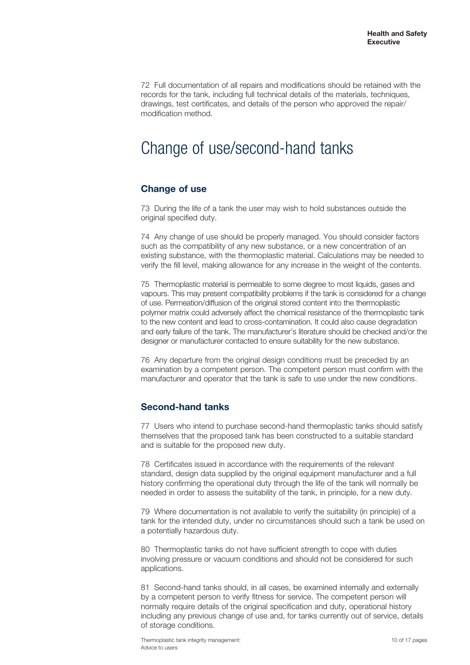72 Full documentation of all repairs and modifications should be retained with the records for the tank, including full technical details of the materials, techniques, drawings, test certificates, and details of the person who approved the repair/ modification method.

# Change of use/second-hand tanks

### **Change of use**

73 During the life of a tank the user may wish to hold substances outside the original specified duty.

74 Any change of use should be properly managed. You should consider factors such as the compatibility of any new substance, or a new concentration of an existing substance, with the thermoplastic material. Calculations may be needed to verify the fill level, making allowance for any increase in the weight of the contents.

75 Thermoplastic material is permeable to some degree to most liquids, gases and vapours. This may present compatibility problems if the tank is considered for a change of use. Permeation/diffusion of the original stored content into the thermoplastic polymer matrix could adversely affect the chemical resistance of the thermoplastic tank to the new content and lead to cross-contamination. It could also cause degradation and early failure of the tank. The manufacturer's literature should be checked and/or the designer or manufacturer contacted to ensure suitability for the new substance.

76 Any departure from the original design conditions must be preceded by an examination by a competent person. The competent person must confirm with the manufacturer and operator that the tank is safe to use under the new conditions.

### **Second-hand tanks**

77 Users who intend to purchase second-hand thermoplastic tanks should satisfy themselves that the proposed tank has been constructed to a suitable standard and is suitable for the proposed new duty.

78 Certificates issued in accordance with the requirements of the relevant standard, design data supplied by the original equipment manufacturer and a full history confirming the operational duty through the life of the tank will normally be needed in order to assess the suitability of the tank, in principle, for a new duty.

79 Where documentation is not available to verify the suitability (in principle) of a tank for the intended duty, under no circumstances should such a tank be used on a potentially hazardous duty.

80 Thermoplastic tanks do not have sufficient strength to cope with duties involving pressure or vacuum conditions and should not be considered for such applications.

81 Second-hand tanks should, in all cases, be examined internally and externally by a competent person to verify fitness for service. The competent person will normally require details of the original specification and duty, operational history including any previous change of use and, for tanks currently out of service, details of storage conditions.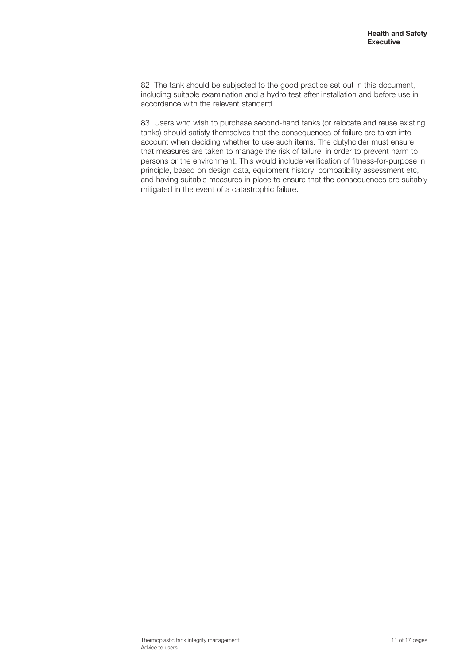82 The tank should be subjected to the good practice set out in this document, including suitable examination and a hydro test after installation and before use in accordance with the relevant standard.

83 Users who wish to purchase second-hand tanks (or relocate and reuse existing tanks) should satisfy themselves that the consequences of failure are taken into account when deciding whether to use such items. The dutyholder must ensure that measures are taken to manage the risk of failure, in order to prevent harm to persons or the environment. This would include verification of fitness-for-purpose in principle, based on design data, equipment history, compatibility assessment etc, and having suitable measures in place to ensure that the consequences are suitably mitigated in the event of a catastrophic failure.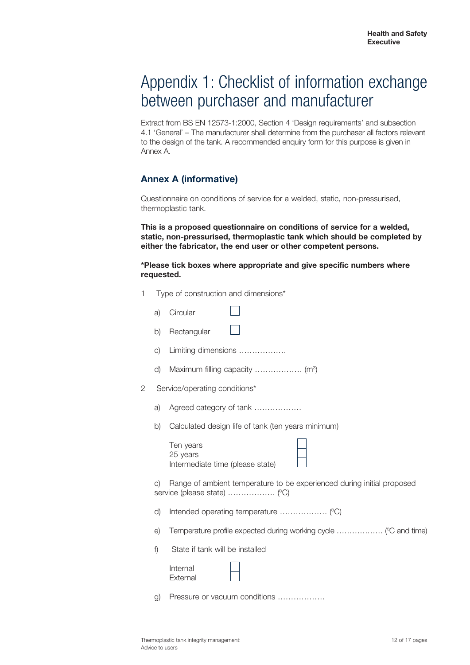# Appendix 1: Checklist of information exchange between purchaser and manufacturer

Extract from BS EN 12573-1:2000, Section 4 'Design requirements' and subsection 4.1 'General' – The manufacturer shall determine from the purchaser all factors relevant to the design of the tank. A recommended enquiry form for this purpose is given in Annex A.

### **Annex A (informative)**

Questionnaire on conditions of service for a welded, static, non-pressurised, thermoplastic tank.

**This is a proposed questionnaire on conditions of service for a welded, static, non-pressurised, thermoplastic tank which should be completed by either the fabricator, the end user or other competent persons.** 

#### **\*Please tick boxes where appropriate and give specific numbers where requested.**

| 1  |                                                                                                                     | Type of construction and dimensions*                             |  |
|----|---------------------------------------------------------------------------------------------------------------------|------------------------------------------------------------------|--|
|    | a)                                                                                                                  | Circular                                                         |  |
|    | b)                                                                                                                  | Rectangular                                                      |  |
|    | $\circ$ )                                                                                                           | Limiting dimensions                                              |  |
|    | d)                                                                                                                  |                                                                  |  |
| 2  |                                                                                                                     | Service/operating conditions*                                    |  |
|    | a)                                                                                                                  | Agreed category of tank                                          |  |
|    | b)                                                                                                                  | Calculated design life of tank (ten years minimum)               |  |
|    |                                                                                                                     | Ten years<br>25 years<br>Intermediate time (please state)        |  |
|    | Range of ambient temperature to be experienced during initial proposed<br>$\circ$ )<br>service (please state)  (°C) |                                                                  |  |
| d) |                                                                                                                     |                                                                  |  |
|    | e)                                                                                                                  | Temperature profile expected during working cycle  (°C and time) |  |
|    | f)                                                                                                                  | State if tank will be installed                                  |  |
|    |                                                                                                                     | Internal<br>External                                             |  |
|    | g)                                                                                                                  | Pressure or vacuum conditions                                    |  |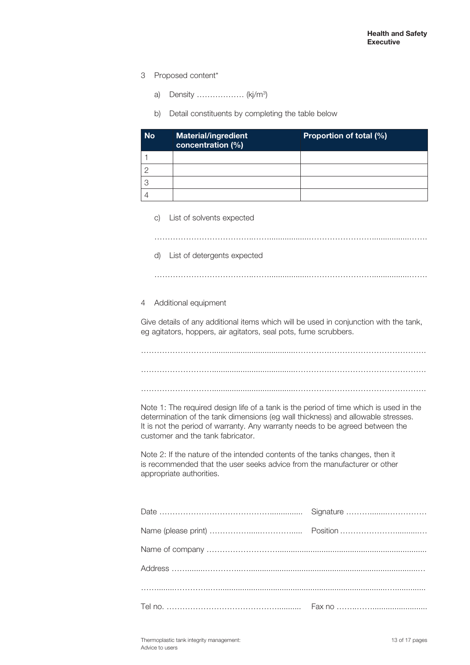- 3 Proposed content\*
	- a) Density .................. (kj/m<sup>3</sup>)
	- b) Detail constituents by completing the table below

| <b>No</b> | <b>Material/ingredient</b><br>concentration (%) | Proportion of total (%) |
|-----------|-------------------------------------------------|-------------------------|
|           |                                                 |                         |
|           |                                                 |                         |
|           |                                                 |                         |
|           |                                                 |                         |

c) List of solvents expected

………………………………..……..................…………………….................…….

d) List of detergents expected

4 Additional equipment

Give details of any additional items which will be used in conjunction with the tank, eg agitators, hoppers, air agitators, seal pots, fume scrubbers.

………………………………..……..................…………………….................…….

………………………......................................………….………………………………. ………………………......................................………….……………………………….

………………………......................................………….……………………………….

Note 1: The required design life of a tank is the period of time which is used in the determination of the tank dimensions (eg wall thickness) and allowable stresses. It is not the period of warranty. Any warranty needs to be agreed between the customer and the tank fabricator.

Note 2: If the nature of the intended contents of the tanks changes, then it is recommended that the user seeks advice from the manufacturer or other appropriate authorities.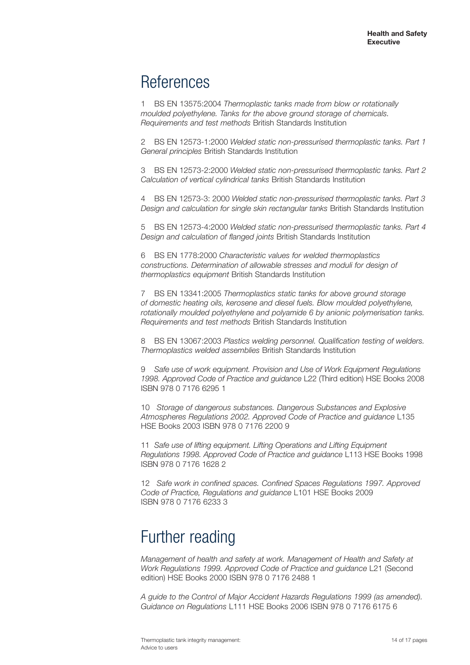# References

1 BS EN 13575:2004 *Thermoplastic tanks made from blow or rotationally moulded polyethylene. Tanks for the above ground storage of chemicals. Requirements and test methods* British Standards Institution

2 BS EN 12573-1:2000 *Welded static non-pressurised thermoplastic tanks. Part 1 General principles* British Standards Institution

3 BS EN 12573-2:2000 *Welded static non-pressurised thermoplastic tanks. Part 2 Calculation of vertical cylindrical tanks* British Standards Institution

4 BS EN 12573-3: 2000 *Welded static non-pressurised thermoplastic tanks. Part 3 Design and calculation for single skin rectangular tanks* British Standards Institution

5 BS EN 12573-4:2000 *Welded static non-pressurised thermoplastic tanks. Part 4 Design and calculation of flanged joints* British Standards Institution

6 BS EN 1778:2000 *Characteristic values for welded thermoplastics constructions. Determination of allowable stresses and moduli for design of thermoplastics equipment* British Standards Institution

7 BS EN 13341:2005 *Thermoplastics static tanks for above ground storage of domestic heating oils, kerosene and diesel fuels. Blow moulded polyethylene, rotationally moulded polyethylene and polyamide 6 by anionic polymerisation tanks. Requirements and test methods* British Standards Institution

8 BS EN 13067:2003 *Plastics welding personnel. Qualification testing of welders. Thermoplastics welded assemblies* British Standards Institution

9 *Safe use of work equipment. Provision and Use of Work Equipment Regulations 1998. Approved Code of Practice and guidance* L22 (Third edition) HSE Books 2008 ISBN 978 0 7176 6295 1

10 *Storage of dangerous substances. Dangerous Substances and Explosive Atmospheres Regulations 2002. Approved Code of Practice and guidance* L135 HSE Books 2003 ISBN 978 0 7176 2200 9

11 *Safe use of lifting equipment. Lifting Operations and Lifting Equipment Regulations 1998. Approved Code of Practice and guidance* L113 HSE Books 1998 ISBN 978 0 7176 1628 2

12 *Safe work in confined spaces. Confined Spaces Regulations 1997. Approved Code of Practice, Regulations and guidance* L101 HSE Books 2009 ISBN 978 0 7176 6233 3

# Further reading

*Management of health and safety at work. Management of Health and Safety at Work Regulations 1999. Approved Code of Practice and guidance* L21 (Second edition) HSE Books 2000 ISBN 978 0 7176 2488 1

*A guide to the Control of Major Accident Hazards Regulations 1999 (as amended). Guidance on Regulations* L111 HSE Books 2006 ISBN 978 0 7176 6175 6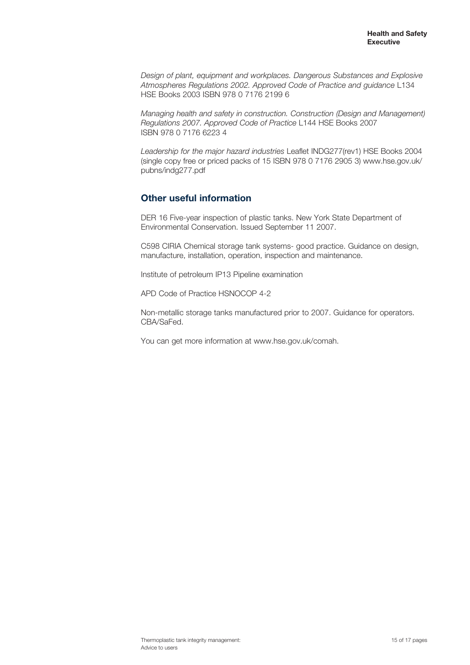*Design of plant, equipment and workplaces. Dangerous Substances and Explosive Atmospheres Regulations 2002. Approved Code of Practice and guidance* L134 HSE Books 2003 ISBN 978 0 7176 2199 6

*Managing health and safety in construction. Construction (Design and Management) Regulations 2007. Approved Code of Practice* L144 HSE Books 2007 ISBN 978 0 7176 6223 4

*Leadership for the major hazard industries* Leaflet INDG277(rev1) HSE Books 2004 (single copy free or priced packs of 15 ISBN 978 0 7176 2905 3) www.hse.gov.uk/ pubns/indg277.pdf

### **Other useful information**

DER 16 Five-year inspection of plastic tanks. New York State Department of Environmental Conservation. Issued September 11 2007.

C598 CIRIA Chemical storage tank systems- good practice. Guidance on design, manufacture, installation, operation, inspection and maintenance.

Institute of petroleum IP13 Pipeline examination

APD Code of Practice HSNOCOP 4-2

Non-metallic storage tanks manufactured prior to 2007. Guidance for operators. CBA/SaFed.

You can get more information at www.hse.gov.uk/comah.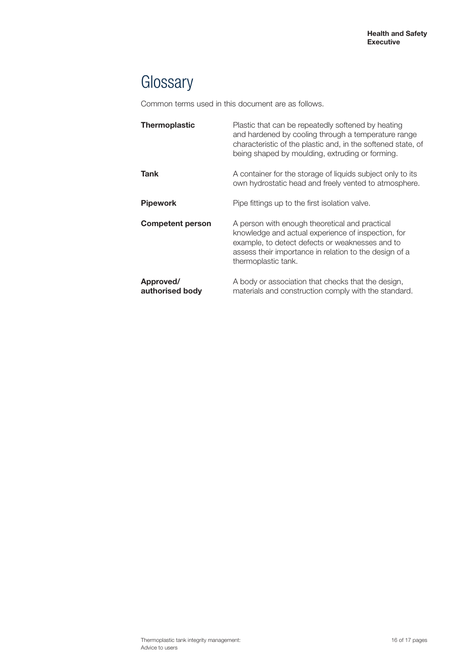# **Glossary**

Common terms used in this document are as follows.

| Thermoplastic                | Plastic that can be repeatedly softened by heating<br>and hardened by cooling through a temperature range<br>characteristic of the plastic and, in the softened state, of<br>being shaped by moulding, extruding or forming.             |
|------------------------------|------------------------------------------------------------------------------------------------------------------------------------------------------------------------------------------------------------------------------------------|
| Tank                         | A container for the storage of liquids subject only to its<br>own hydrostatic head and freely vented to atmosphere.                                                                                                                      |
| Pipework                     | Pipe fittings up to the first isolation valve.                                                                                                                                                                                           |
| <b>Competent person</b>      | A person with enough theoretical and practical<br>knowledge and actual experience of inspection, for<br>example, to detect defects or weaknesses and to<br>assess their importance in relation to the design of a<br>thermoplastic tank. |
| Approved/<br>authorised body | A body or association that checks that the design,<br>materials and construction comply with the standard.                                                                                                                               |